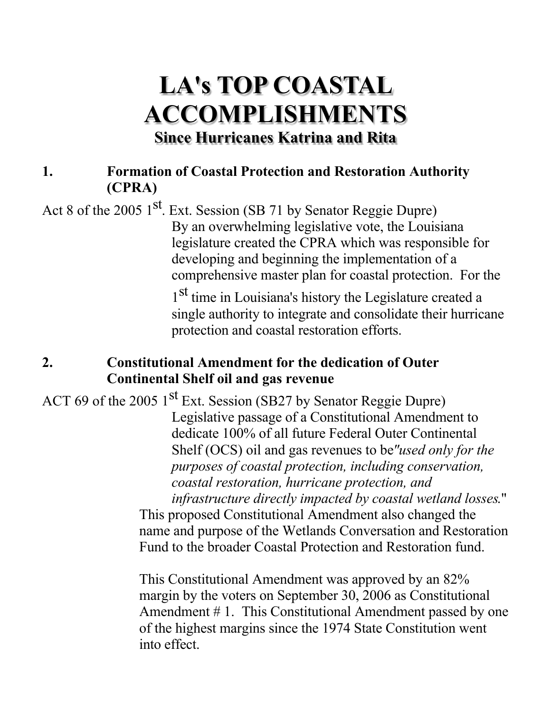# **LA's TOP COASTAL ACCOMPLISHMENTS Since Hurricanes Katrina and Rita**

#### **1. Formation of Coastal Protection and Restoration Authority (CPRA)**

Act 8 of the 2005 1<sup>st</sup>. Ext. Session (SB 71 by Senator Reggie Dupre) By an overwhelming legislative vote, the Louisiana legislature created the CPRA which was responsible for developing and beginning the implementation of a comprehensive master plan for coastal protection. For the

1<sup>st</sup> time in Louisiana's history the Legislature created a single authority to integrate and consolidate their hurricane protection and coastal restoration efforts.

#### **2. Constitutional Amendment for the dedication of Outer Continental Shelf oil and gas revenue**

ACT 69 of the 2005  $1<sup>st</sup>$  Ext. Session (SB27 by Senator Reggie Dupre) Legislative passage of a Constitutional Amendment to dedicate 100% of all future Federal Outer Continental Shelf (OCS) oil and gas revenues to be*"used only for the purposes of coastal protection, including conservation, coastal restoration, hurricane protection, and infrastructure directly impacted by coastal wetland losses*." This proposed Constitutional Amendment also changed the

name and purpose of the Wetlands Conversation and Restoration Fund to the broader Coastal Protection and Restoration fund.

This Constitutional Amendment was approved by an 82% margin by the voters on September 30, 2006 as Constitutional Amendment # 1. This Constitutional Amendment passed by one of the highest margins since the 1974 State Constitution went into effect.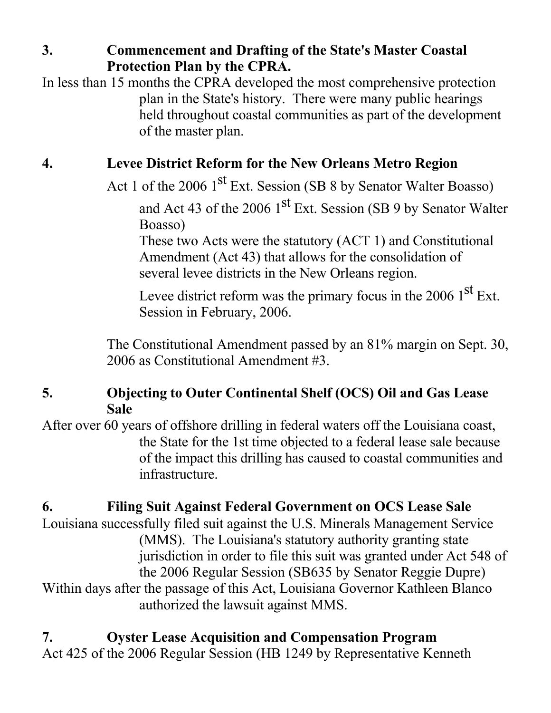**3. Commencement and Drafting of the State's Master Coastal Protection Plan by the CPRA.**

In less than 15 months the CPRA developed the most comprehensive protection plan in the State's history. There were many public hearings held throughout coastal communities as part of the development of the master plan.

### **4. Levee District Reform for the New Orleans Metro Region**

Act 1 of the 2006 1<sup>st</sup> Ext. Session (SB 8 by Senator Walter Boasso)

and Act 43 of the 2006 1<sup>st</sup> Ext. Session (SB 9 by Senator Walter Boasso)

These two Acts were the statutory (ACT 1) and Constitutional Amendment (Act 43) that allows for the consolidation of several levee districts in the New Orleans region.

Levee district reform was the primary focus in the 2006  $1<sup>st</sup>$  Ext. Session in February, 2006.

The Constitutional Amendment passed by an 81% margin on Sept. 30, 2006 as Constitutional Amendment #3.

#### **5. Objecting to Outer Continental Shelf (OCS) Oil and Gas Lease Sale**

After over 60 years of offshore drilling in federal waters off the Louisiana coast, the State for the 1st time objected to a federal lease sale because of the impact this drilling has caused to coastal communities and infrastructure.

### **6. Filing Suit Against Federal Government on OCS Lease Sale**

Louisiana successfully filed suit against the U.S. Minerals Management Service (MMS). The Louisiana's statutory authority granting state jurisdiction in order to file this suit was granted under Act 548 of the 2006 Regular Session (SB635 by Senator Reggie Dupre) Within days after the passage of this Act, Louisiana Governor Kathleen Blanco authorized the lawsuit against MMS.

**7. Oyster Lease Acquisition and Compensation Program** Act 425 of the 2006 Regular Session (HB 1249 by Representative Kenneth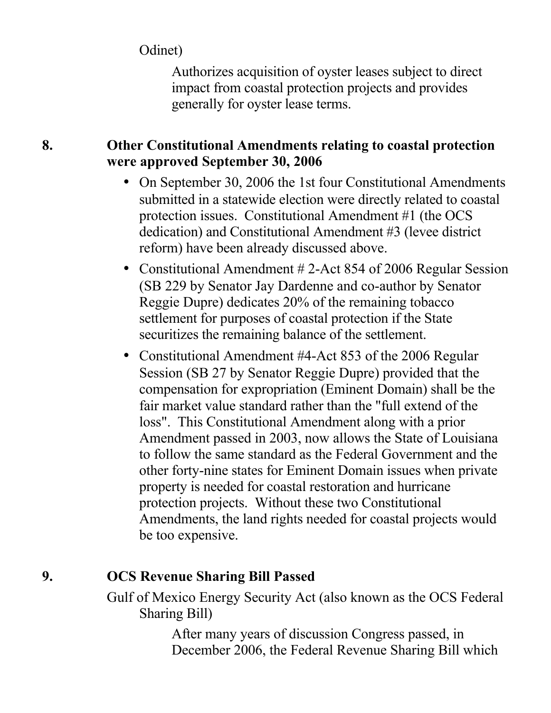Odinet)

Authorizes acquisition of oyster leases subject to direct impact from coastal protection projects and provides generally for oyster lease terms.

#### **8. Other Constitutional Amendments relating to coastal protection were approved September 30, 2006**

- On September 30, 2006 the 1st four Constitutional Amendments submitted in a statewide election were directly related to coastal protection issues. Constitutional Amendment #1 (the OCS dedication) and Constitutional Amendment #3 (levee district reform) have been already discussed above.
- Constitutional Amendment #2-Act 854 of 2006 Regular Session (SB 229 by Senator Jay Dardenne and co-author by Senator Reggie Dupre) dedicates 20% of the remaining tobacco settlement for purposes of coastal protection if the State securitizes the remaining balance of the settlement.
- Constitutional Amendment #4-Act 853 of the 2006 Regular Session (SB 27 by Senator Reggie Dupre) provided that the compensation for expropriation (Eminent Domain) shall be the fair market value standard rather than the "full extend of the loss". This Constitutional Amendment along with a prior Amendment passed in 2003, now allows the State of Louisiana to follow the same standard as the Federal Government and the other forty-nine states for Eminent Domain issues when private property is needed for coastal restoration and hurricane protection projects. Without these two Constitutional Amendments, the land rights needed for coastal projects would be too expensive.

### **9. OCS Revenue Sharing Bill Passed**

Gulf of Mexico Energy Security Act (also known as the OCS Federal Sharing Bill)

> After many years of discussion Congress passed, in December 2006, the Federal Revenue Sharing Bill which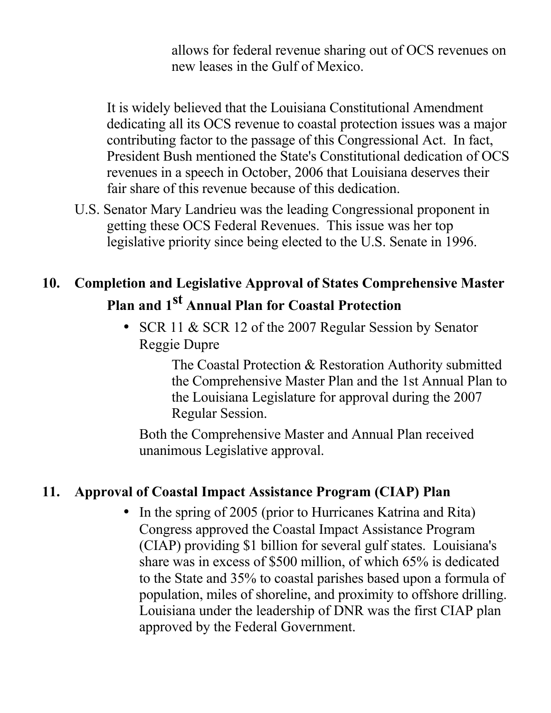allows for federal revenue sharing out of OCS revenues on new leases in the Gulf of Mexico.

It is widely believed that the Louisiana Constitutional Amendment dedicating all its OCS revenue to coastal protection issues was a major contributing factor to the passage of this Congressional Act. In fact, President Bush mentioned the State's Constitutional dedication of OCS revenues in a speech in October, 2006 that Louisiana deserves their fair share of this revenue because of this dedication.

U.S. Senator Mary Landrieu was the leading Congressional proponent in getting these OCS Federal Revenues. This issue was her top legislative priority since being elected to the U.S. Senate in 1996.

# **10. Completion and Legislative Approval of States Comprehensive Master Plan and 1st Annual Plan for Coastal Protection**

• SCR 11 & SCR 12 of the 2007 Regular Session by Senator Reggie Dupre

> The Coastal Protection & Restoration Authority submitted the Comprehensive Master Plan and the 1st Annual Plan to the Louisiana Legislature for approval during the 2007 Regular Session.

Both the Comprehensive Master and Annual Plan received unanimous Legislative approval.

#### **11. Approval of Coastal Impact Assistance Program (CIAP) Plan**

• In the spring of 2005 (prior to Hurricanes Katrina and Rita) Congress approved the Coastal Impact Assistance Program (CIAP) providing \$1 billion for several gulf states. Louisiana's share was in excess of \$500 million, of which 65% is dedicated to the State and 35% to coastal parishes based upon a formula of population, miles of shoreline, and proximity to offshore drilling. Louisiana under the leadership of DNR was the first CIAP plan approved by the Federal Government.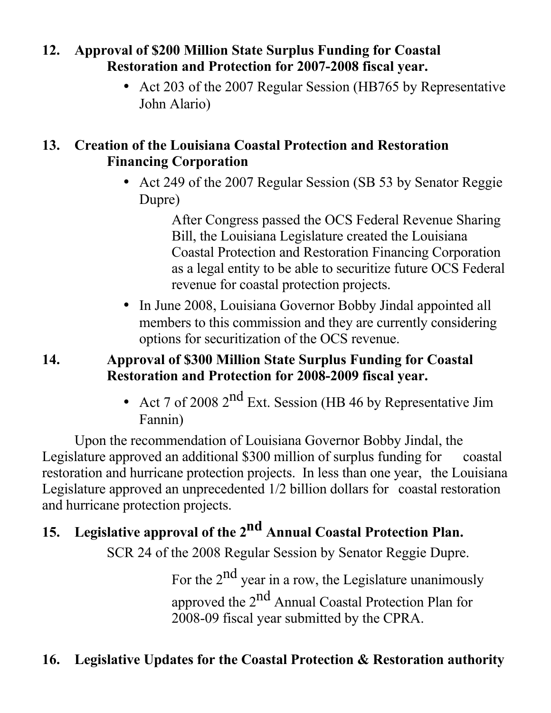#### **12. Approval of \$200 Million State Surplus Funding for Coastal Restoration and Protection for 2007-2008 fiscal year.**

• Act 203 of the 2007 Regular Session (HB765 by Representative John Alario)

#### **13. Creation of the Louisiana Coastal Protection and Restoration Financing Corporation**

• Act 249 of the 2007 Regular Session (SB 53 by Senator Reggie) Dupre)

> After Congress passed the OCS Federal Revenue Sharing Bill, the Louisiana Legislature created the Louisiana Coastal Protection and Restoration Financing Corporation as a legal entity to be able to securitize future OCS Federal revenue for coastal protection projects.

• In June 2008, Louisiana Governor Bobby Jindal appointed all members to this commission and they are currently considering options for securitization of the OCS revenue.

#### **14. Approval of \$300 Million State Surplus Funding for Coastal Restoration and Protection for 2008-2009 fiscal year.**

• Act 7 of 2008  $2<sup>nd</sup>$  Ext. Session (HB 46 by Representative Jim Fannin)

Upon the recommendation of Louisiana Governor Bobby Jindal, the Legislature approved an additional \$300 million of surplus funding for coastal restoration and hurricane protection projects. In less than one year, the Louisiana Legislature approved an unprecedented 1/2 billion dollars for coastal restoration and hurricane protection projects.

# **15. Legislative approval of the 2nd Annual Coastal Protection Plan.**

SCR 24 of the 2008 Regular Session by Senator Reggie Dupre.

For the  $2<sup>nd</sup>$  year in a row, the Legislature unanimously approved the 2<sup>nd</sup> Annual Coastal Protection Plan for 2008-09 fiscal year submitted by the CPRA.

## **16. Legislative Updates for the Coastal Protection & Restoration authority**